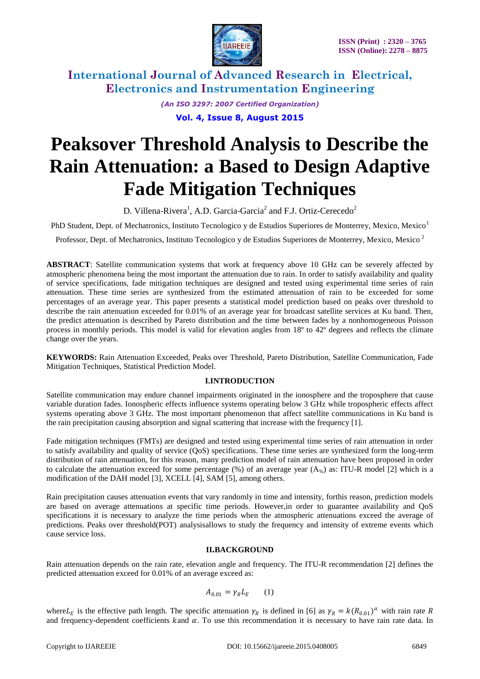

> *(An ISO 3297: 2007 Certified Organization)* **Vol. 4, Issue 8, August 2015**

# **Peaksover Threshold Analysis to Describe the Rain Attenuation: a Based to Design Adaptive Fade Mitigation Techniques**

D. Villena-Rivera<sup>1</sup>, A.D. Garcia-Garcia<sup>2</sup> and F.J. Ortiz-Cerecedo<sup>2</sup>

PhD Student, Dept. of Mechatronics, Instituto Tecnologico y de Estudios Superiores de Monterrey, Mexico, Mexico<sup>1</sup>

Professor, Dept. of Mechatronics, Instituto Tecnologico y de Estudios Superiores de Monterrey, Mexico, Mexico <sup>2</sup>

**ABSTRACT**: Satellite communication systems that work at frequency above 10 GHz can be severely affected by atmospheric phenomena being the most important the attenuation due to rain. In order to satisfy availability and quality of service specifications, fade mitigation techniques are designed and tested using experimental time series of rain attenuation. These time series are synthesized from the estimated attenuation of rain to be exceeded for some percentages of an average year. This paper presents a statistical model prediction based on peaks over threshold to describe the rain attenuation exceeded for 0.01% of an average year for broadcast satellite services at Ku band. Then, the predict attenuation is described by Pareto distribution and the time between fades by a nonhomogeneous Poisson process in monthly periods. This model is valid for elevation angles from 18º to 42º degrees and reflects the climate change over the years.

**KEYWORDS:** Rain Attenuation Exceeded, Peaks over Threshold, Pareto Distribution, Satellite Communication, Fade Mitigation Techniques, Statistical Prediction Model.

### **I.INTRODUCTION**

Satellite communication may endure channel impairments originated in the ionosphere and the troposphere that cause variable duration fades. Ionospheric effects influence systems operating below 3 GHz while tropospheric effects affect systems operating above 3 GHz. The most important phenomenon that affect satellite communications in Ku band is the rain precipitation causing absorption and signal scattering that increase with the frequency [1].

Fade mitigation techniques (FMTs) are designed and tested using experimental time series of rain attenuation in order to satisfy availability and quality of service (QoS) specifications. These time series are synthesized form the long-term distribution of rain attenuation, for this reason, many prediction model of rain attenuation have been proposed in order to calculate the attenuation exceed for some percentage (%) of an average year  $(A_{\%})$  as: ITU-R model [2] which is a modification of the DAH model [3], XCELL [4], SAM [5], among others.

Rain precipitation causes attenuation events that vary randomly in time and intensity, forthis reason, prediction models are based on average attenuations at specific time periods. However,in order to guarantee availability and QoS specifications it is necessary to analyze the time periods when the atmospheric attenuations exceed the average of predictions. Peaks over threshold(POT) analysisallows to study the frequency and intensity of extreme events which cause service loss.

#### **II.BACKGROUND**

Rain attenuation depends on the rain rate, elevation angle and frequency. The ITU-R recommendation [2] defines the predicted attenuation exceed for 0.01% of an average exceed as:

$$
A_{0.01} = \gamma_R L_E \qquad (1)
$$

where  $L_E$  is the effective path length. The specific attenuation  $\gamma_R$  is defined in [6] as  $\gamma_R = k(R_{0.01})^\alpha$  with rain rate R and frequency-dependent coefficients kand  $\alpha$ . To use this recommendation it is necessary to have rain rate data. In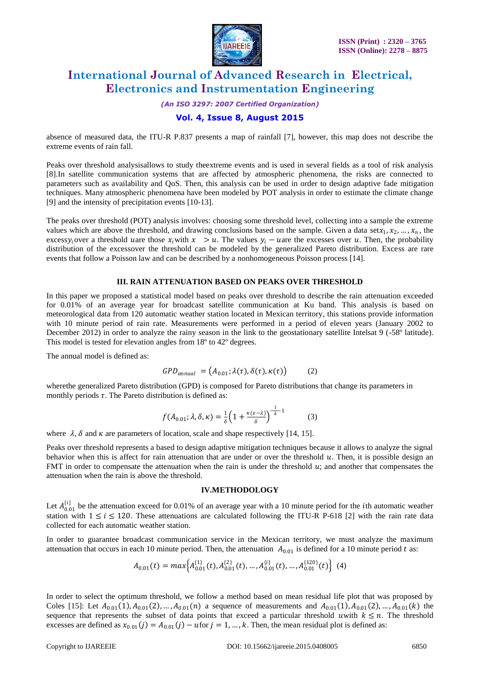

*(An ISO 3297: 2007 Certified Organization)*

### **Vol. 4, Issue 8, August 2015**

absence of measured data, the ITU-R P.837 presents a map of rainfall [7], however, this map does not describe the extreme events of rain fall.

Peaks over threshold analysisallows to study theextreme events and is used in several fields as a tool of risk analysis [8].In satellite communication systems that are affected by atmospheric phenomena, the risks are connected to parameters such as availability and QoS. Then, this analysis can be used in order to design adaptive fade mitigation techniques. Many atmospheric phenomena have been modeled by POT analysis in order to estimate the climate change [9] and the intensity of precipitation events [10-13].

The peaks over threshold (POT) analysis involves: choosing some threshold level, collecting into a sample the extreme values which are above the threshold, and drawing conclusions based on the sample. Given a data set $x_1, x_2, ..., x_n$ , the excessy<sub>i</sub> over a threshold uare those  $x_i$  with  $x > u$ . The values  $y_i - u$  are the excesses over u. Then, the probability distribution of the excessover the threshold can be modeled by the generalized Pareto distribution. Excess are rare events that follow a Poisson law and can be described by a nonhomogeneous Poisson process [14].

#### **III. RAIN ATTENUATION BASED ON PEAKS OVER THRESHOLD**

In this paper we proposed a statistical model based on peaks over threshold to describe the rain attenuation exceeded for 0.01% of an average year for broadcast satellite communication at Ku band. This analysis is based on meteorological data from 120 automatic weather station located in Mexican territory, this stations provide information with 10 minute period of rain rate. Measurements were performed in a period of eleven years (January 2002 to December 2012) in order to analyze the rainy season in the link to the geostationary satellite Intelsat 9 (-58º latitude). This model is tested for elevation angles from 18<sup>°</sup> to 42<sup>°</sup> degrees.

The annual model is defined as:

$$
GPD_{annual} = (A_{0.01}; \lambda(\tau), \delta(\tau), \kappa(\tau))
$$
 (2)

wherethe generalized Pareto distribution (GPD) is composed for Pareto distributions that change its parameters in monthly periods  $\tau$ . The Pareto distribution is defined as:

$$
f(A_{0.01}; \lambda, \delta, \kappa) = \frac{1}{\delta} \left( 1 + \frac{\kappa(\kappa - \lambda)}{\delta} \right)^{-\frac{1}{k} - 1}
$$
 (3)

where  $\lambda$ ,  $\delta$  and  $\kappa$  are parameters of location, scale and shape respectively [14, 15].

Peaks over threshold represents a based to design adaptive mitigation techniques because it allows to analyze the signal behavior when this is affect for rain attenuation that are under or over the threshold  $u$ . Then, it is possible design an FMT in order to compensate the attenuation when the rain is under the threshold  $u$ ; and another that compensates the attenuation when the rain is above the threshold.

#### **IV.METHODOLOGY**

Let  $A_{0.01}^{i,j}$  be the attenuation exceed for 0.01% of an average year with a 10 minute period for the *i*th automatic weather station with  $1 \le i \le 120$ . These attenuations are calculated following the ITU-R P-618 [2] with the rain rate data collected for each automatic weather station.

In order to guarantee broadcast communication service in the Mexican territory, we must analyze the maximum attenuation that occurs in each 10 minute period. Then, the attenuation  $A_{0.01}$  is defined for a 10 minute period t as:

$$
A_{0.01}(t) = max\Big\{A_{0.01}^{\{1\}}(t), A_{0.01}^{\{2\}}(t), ..., A_{0.01}^{\{i\}}(t), ..., A_{0.01}^{\{120\}}(t)\Big\} (4)
$$

In order to select the optimum threshold, we follow a method based on mean residual life plot that was proposed by Coles [15]: Let  $A_{0.01}$ (1),  $A_{0.01}$ (2), …,  $A_{0.01}$ (n) a sequence of measurements and  $A_{0.01}$ (1),  $A_{0.01}$ (2), …,  $A_{0.01}$ (k) the sequence that represents the subset of data points that exceed a particular threshold uwith  $k \leq n$ . The threshold excesses are defined as  $x_{0.01}(j) = A_{0.01}(j) - u$  for  $j = 1, ..., k$ . Then, the mean residual plot is defined as: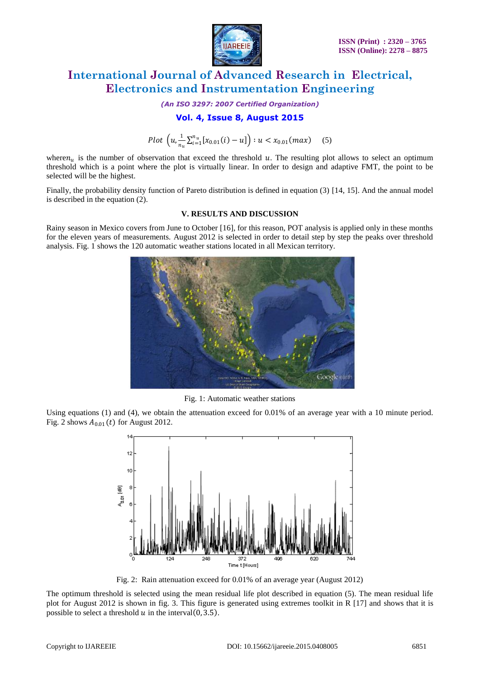

*(An ISO 3297: 2007 Certified Organization)*

### **Vol. 4, Issue 8, August 2015**

Plot  $\left(u,\frac{1}{u}\right)$  $\frac{1}{n_u} \sum_{i=1}^{n_u} [x_{0.01}(i) - u] \bigg) : u < x_{0.01}(max) \quad (5)$ 

where  $n_u$  is the number of observation that exceed the threshold u. The resulting plot allows to select an optimum threshold which is a point where the plot is virtually linear. In order to design and adaptive FMT, the point to be selected will be the highest.

Finally, the probability density function of Pareto distribution is defined in equation (3) [14, 15]. And the annual model is described in the equation (2).

#### **V. RESULTS AND DISCUSSION**

Rainy season in Mexico covers from June to October [16], for this reason, POT analysis is applied only in these months for the eleven years of measurements. August 2012 is selected in order to detail step by step the peaks over threshold analysis. Fig. 1 shows the 120 automatic weather stations located in all Mexican territory.



Fig. 1: Automatic weather stations

Using equations (1) and (4), we obtain the attenuation exceed for 0.01% of an average year with a 10 minute period. Fig. 2 shows  $A_{0.01}(t)$  for August 2012.



Fig. 2: Rain attenuation exceed for 0.01% of an average year (August 2012)

The optimum threshold is selected using the mean residual life plot described in equation (5). The mean residual life plot for August 2012 is shown in fig. 3. This figure is generated using extremes toolkit in R [17] and shows that it is possible to select a threshold  $u$  in the interval  $(0, 3.5)$ .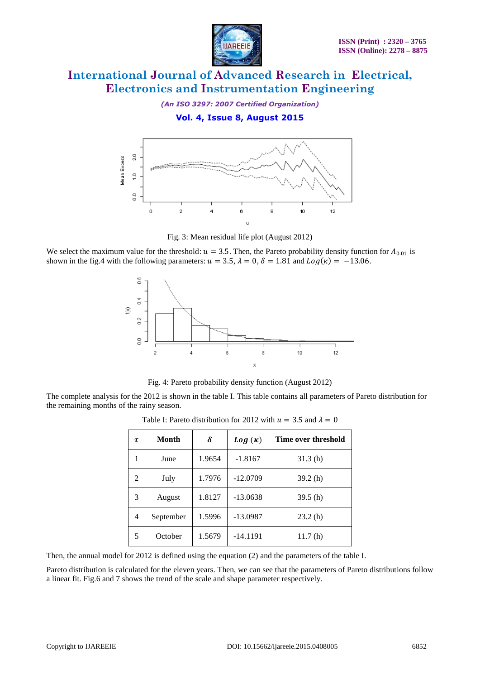

*(An ISO 3297: 2007 Certified Organization)*

**Vol. 4, Issue 8, August 2015**



Fig. 3: Mean residual life plot (August 2012)

We select the maximum value for the threshold:  $u = 3.5$ . Then, the Pareto probability density function for  $A_{0.01}$  is shown in the fig.4 with the following parameters:  $u = 3.5$ ,  $\lambda = 0$ ,  $\delta = 1.81$  and  $Log(\kappa) = -13.06$ .



Fig. 4: Pareto probability density function (August 2012)

The complete analysis for the 2012 is shown in the table I. This table contains all parameters of Pareto distribution for the remaining months of the rainy season.

| τ | Month     | δ      | $Log(\kappa)$ | Time over threshold |
|---|-----------|--------|---------------|---------------------|
| 1 | June      | 1.9654 | $-1.8167$     | 31.3(h)             |
| 2 | July      | 1.7976 | $-12.0709$    | 39.2(h)             |
| 3 | August    | 1.8127 | $-13.0638$    | 39.5(h)             |
| 4 | September | 1.5996 | $-13.0987$    | 23.2(h)             |
| 5 | October   | 1.5679 | $-14.1191$    | 11.7(h)             |

Table I: Pareto distribution for 2012 with  $u = 3.5$  and  $\lambda = 0$ 

Then, the annual model for 2012 is defined using the equation (2) and the parameters of the table I.

Pareto distribution is calculated for the eleven years. Then, we can see that the parameters of Pareto distributions follow a linear fit. Fig.6 and 7 shows the trend of the scale and shape parameter respectively.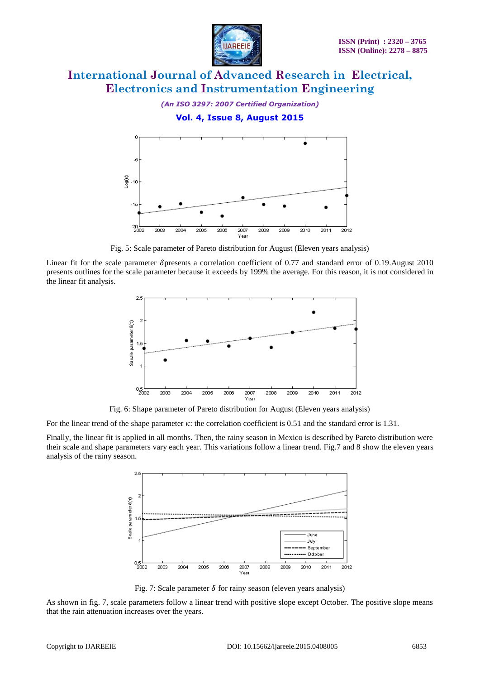

*(An ISO 3297: 2007 Certified Organization)* **Vol. 4, Issue 8, August 2015**



Fig. 5: Scale parameter of Pareto distribution for August (Eleven years analysis)

Linear fit for the scale parameter  $\delta$ presents a correlation coefficient of 0.77 and standard error of 0.19.August 2010 presents outlines for the scale parameter because it exceeds by 199% the average. For this reason, it is not considered in the linear fit analysis.



Fig. 6: Shape parameter of Pareto distribution for August (Eleven years analysis)

For the linear trend of the shape parameter  $\kappa$ : the correlation coefficient is 0.51 and the standard error is 1.31.

Finally, the linear fit is applied in all months. Then, the rainy season in Mexico is described by Pareto distribution were their scale and shape parameters vary each year. This variations follow a linear trend. Fig.7 and 8 show the eleven years analysis of the rainy season.



Fig. 7: Scale parameter  $\delta$  for rainy season (eleven years analysis)

As shown in fig. 7, scale parameters follow a linear trend with positive slope except October. The positive slope means that the rain attenuation increases over the years.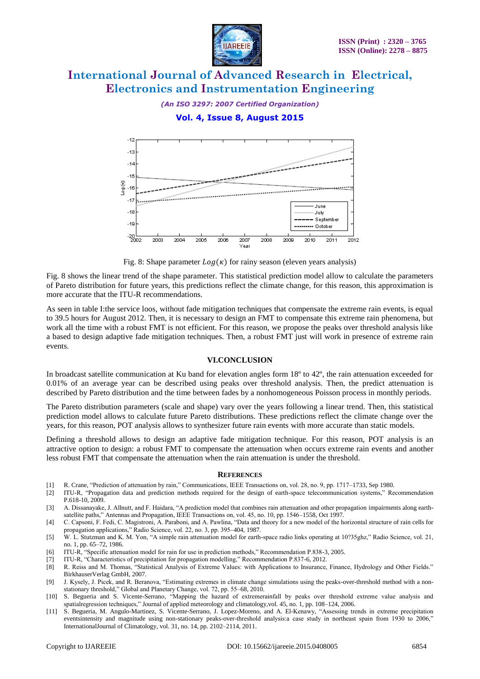

*(An ISO 3297: 2007 Certified Organization)*

### **Vol. 4, Issue 8, August 2015**



Fig. 8: Shape parameter  $Log(\kappa)$  for rainy season (eleven years analysis)

Fig. 8 shows the linear trend of the shape parameter. This statistical prediction model allow to calculate the parameters of Pareto distribution for future years, this predictions reflect the climate change, for this reason, this approximation is more accurate that the ITU-R recommendations.

As seen in table I:the service loos, without fade mitigation techniques that compensate the extreme rain events, is equal to 39.5 hours for August 2012. Then, it is necessary to design an FMT to compensate this extreme rain phenomena, but work all the time with a robust FMT is not efficient. For this reason, we propose the peaks over threshold analysis like a based to design adaptive fade mitigation techniques. Then, a robust FMT just will work in presence of extreme rain events.

#### **VI.CONCLUSION**

In broadcast satellite communication at Ku band for elevation angles form 18º to 42º, the rain attenuation exceeded for 0.01% of an average year can be described using peaks over threshold analysis. Then, the predict attenuation is described by Pareto distribution and the time between fades by a nonhomogeneous Poisson process in monthly periods.

The Pareto distribution parameters (scale and shape) vary over the years following a linear trend. Then, this statistical prediction model allows to calculate future Pareto distributions. These predictions reflect the climate change over the years, for this reason, POT analysis allows to synthesizer future rain events with more accurate than static models.

Defining a threshold allows to design an adaptive fade mitigation technique. For this reason, POT analysis is an attractive option to design: a robust FMT to compensate the attenuation when occurs extreme rain events and another less robust FMT that compensate the attenuation when the rain attenuation is under the threshold.

#### **REFERENCES**

- [1] R. Crane, "Prediction of attenuation by rain," Communications, IEEE Transactions on, vol. 28, no. 9, pp. 1717–1733, Sep 1980.
- [2] ITU-R, "Propagation data and prediction methods required for the design of earth-space telecommunication systems," Recommendation P.618-10, 2009.
- [3] A. Dissanayake, J. Allnutt, and F. Haidara, "A prediction model that combines rain attenuation and other propagation impairments along earthsatellite paths," Antennas and Propagation, IEEE Transactions on, vol. 45, no. 10, pp. 1546–1558, Oct 1997.
- [4] C. Capsoni, F. Fedi, C. Magistroni, A. Paraboni, and A. Pawlina, "Data and theory for a new model of the horizontal structure of rain cells for propagation applications," Radio Science, vol. 22, no. 3, pp. 395–404, 1987.
- [5] W. L. Stutzman and K. M. Yon, "A simple rain attenuation model for earth-space radio links operating at 10?35ghz," Radio Science, vol. 21, no. 1, pp. 65–72, 1986.
- [6] ITU-R, "Specific attenuation model for rain for use in prediction methods," Recommendation P.838-3, 2005.
- [7] ITU-R, "Characteristics of precipitation for propagation modelling," Recommendation P.837-6, 2012.
- [8] R. Reiss and M. Thomas, "Statistical Analysis of Extreme Values: with Applications to Insurance, Finance, Hydrology and Other Fields." BirkhauserVerlag GmbH, 2007.
- [9] J. Kysely, J. Picek, and R. Beranova, "Estimating extremes in climate change simulations using the peaks-over-threshold method with a nonstationary threshold," Global and Planetary Change, vol. 72, pp. 55–68, 2010.
- [10] S. Begueria and S. Vicente-Serrano, "Mapping the hazard of extremerainfall by peaks over threshold extreme value analysis and spatialregression techniques," Journal of applied meteorology and climatology,vol. 45, no. 1, pp. 108–124, 2006.
- [11] S. Begueria, M. Angulo-Martinez, S. Vicente-Serrano, J. Lopez-Moreno, and A. El-Kenawy, "Assessing trends in extreme precipitation eventsintensity and magnitude using non-stationary peaks-over-threshold analysis:a case study in northeast spain from 1930 to 2006," InternationalJournal of Climatology, vol. 31, no. 14, pp. 2102–2114, 2011.